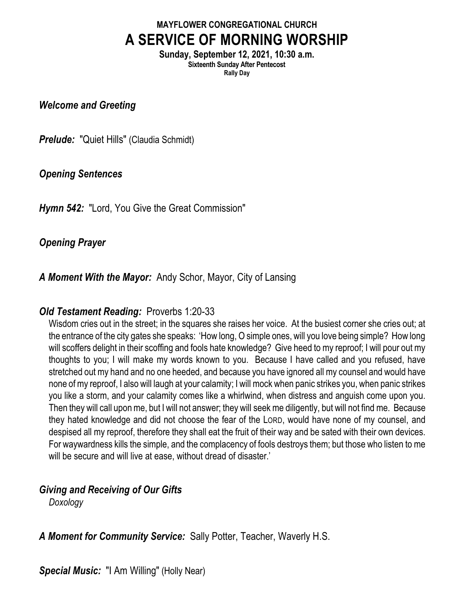# **MAYFLOWER CONGREGATIONAL CHURCH A SERVICE OF MORNING WORSHIP**

**Sunday, September 12, 2021, 10:30 a.m. Sixteenth Sunday After Pentecost Rally Day**

*Welcome and Greeting*

*Prelude:* "Quiet Hills" (Claudia Schmidt)

## *Opening Sentences*

*Hymn 542:* "Lord, You Give the Great Commission"

# *Opening Prayer*

*A Moment With the Mayor:* Andy Schor, Mayor, City of Lansing

# *Old Testament Reading:* Proverbs 1:20-33

Wisdom cries out in the street; in the squares she raises her voice. At the busiest corner she cries out; at the entrance of the city gates she speaks: 'How long, O simple ones, will you love being simple? How long will scoffers delight in their scoffing and fools hate knowledge? Give heed to my reproof; I will pour out my thoughts to you; I will make my words known to you. Because I have called and you refused, have stretched out my hand and no one heeded, and because you have ignored all my counsel and would have none of my reproof, I also will laugh at your calamity; I will mock when panic strikes you, when panic strikes you like a storm, and your calamity comes like a whirlwind, when distress and anguish come upon you. Then they will call upon me, but I will not answer; they will seek me diligently, but will not find me. Because they hated knowledge and did not choose the fear of the LORD, would have none of my counsel, and despised all my reproof, therefore they shall eat the fruit of their way and be sated with their own devices. For waywardness kills the simple, and the complacency of fools destroys them; but those who listen to me will be secure and will live at ease, without dread of disaster.'

# *Giving and Receiving of Our Gifts*

*Doxology*

*A Moment for Community Service:* Sally Potter, Teacher, Waverly H.S.

*Special Music:* "I Am Willing" (Holly Near)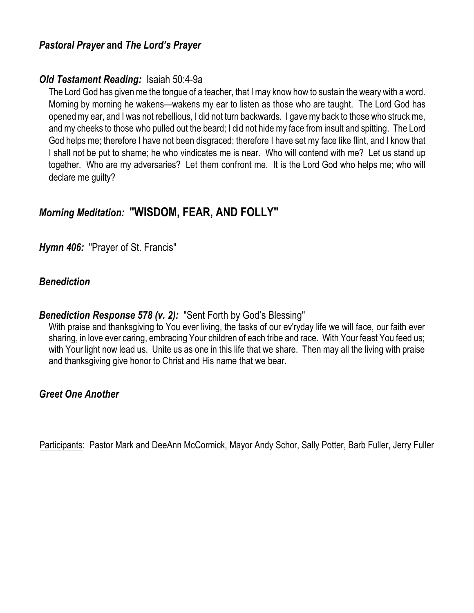## *Pastoral Prayer* **and** *The Lord's Prayer*

## *Old Testament Reading:* Isaiah 50:4-9a

The Lord God has given me the tongue of a teacher, that I may know how to sustain the weary with a word. Morning by morning he wakens—wakens my ear to listen as those who are taught. The Lord God has opened my ear, and I was not rebellious, I did not turn backwards. I gave my back to those who struck me, and my cheeks to those who pulled out the beard; I did not hide my face from insult and spitting. The Lord God helps me; therefore I have not been disgraced; therefore I have set my face like flint, and I know that I shall not be put to shame; he who vindicates me is near. Who will contend with me? Let us stand up together. Who are my adversaries? Let them confront me. It is the Lord God who helps me; who will declare me guilty?

# *Morning Meditation:* **"WISDOM, FEAR, AND FOLLY"**

*Hymn 406:* "Prayer of St. Francis"

## *Benediction*

#### *Benediction Response 578 (v. 2):* "Sent Forth by God's Blessing"

With praise and thanksgiving to You ever living, the tasks of our ev'ryday life we will face, our faith ever sharing, in love ever caring, embracing Your children of each tribe and race. With Your feast You feed us; with Your light now lead us. Unite us as one in this life that we share. Then may all the living with praise and thanksgiving give honor to Christ and His name that we bear.

## *Greet One Another*

Participants: Pastor Mark and DeeAnn McCormick, Mayor Andy Schor, Sally Potter, Barb Fuller, Jerry Fuller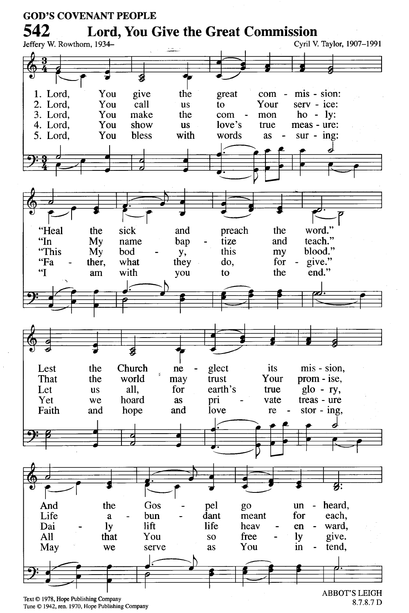

Tune © 1942, ren. 1970, Hope Publishing Company

<sup>8.7.8.7</sup> D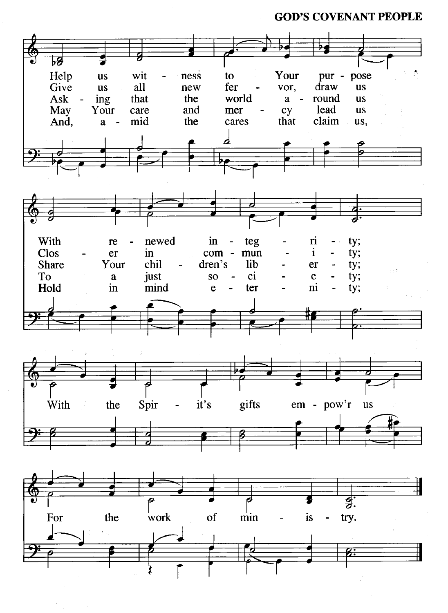**GOD'S COVENANT PEOPLE** 

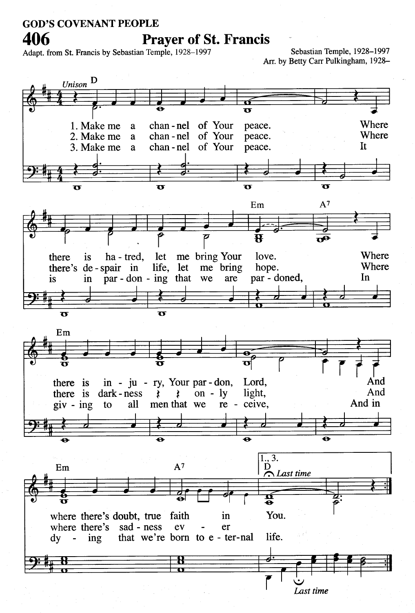# **GOD'S COVENANT PEOPLE**

406

#### **Prayer of St. Francis**

Adapt. from St. Francis by Sebastian Temple, 1928-1997

Sebastian Temple, 1928-1997 Arr. by Betty Carr Pulkingham, 1928-